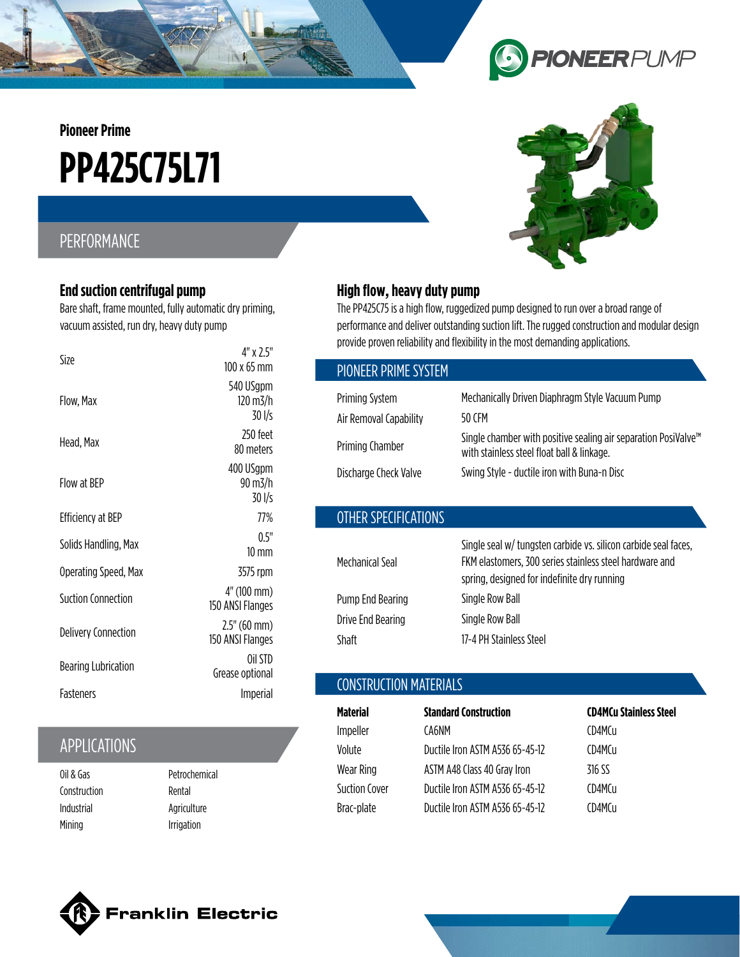**Pioneer Prime**

# **PP425C75L71**

## PERFORMANCE

#### **End suction centrifugal pump**

Bare shaft, frame mounted, fully automatic dry priming, vacuum assisted, run dry, heavy duty pump

| Size                       | 4" x 2.5"<br>$100 \times 65$ mm              |
|----------------------------|----------------------------------------------|
| Flow, Max                  | 540 USgpm<br>$120 \text{ m}$ 3/h<br>$30$ I/s |
| Head, Max                  | 250 feet<br>80 meters                        |
| Flow at RFP                | 400 USgpm<br>90 m3/h<br>30 l/s               |
| Efficiency at BEP          | 77%                                          |
| Solids Handling, Max       | 0.5"<br>$10 \text{ mm}$                      |
| Operating Speed, Max       | 3575 rpm                                     |
| Suction Connection         | 4" (100 mm)<br>150 ANSI Flanges              |
| <b>Delivery Connection</b> | $2.5''(60$ mm)<br>150 ANSI Flanges           |
| <b>Bearing Lubrication</b> | Oil STD<br>Grease optional                   |
| Fasteners                  | Imperial                                     |

## APPLICATIONS

Oil & Gas Construction Industrial Mining

Petrochemical Rental Agriculture Irrigation

## **High flow, heavy duty pump**

The PP425C75 is a high flow, ruggedized pump designed to run over a broad range of performance and deliver outstanding suction lift. The rugged construction and modular design provide proven reliability and flexibility in the most demanding applications.

| PIONEER PRIME SYSTEM                                               |                                                                                                                                                                                       |
|--------------------------------------------------------------------|---------------------------------------------------------------------------------------------------------------------------------------------------------------------------------------|
| <b>Priming System</b><br>Air Removal Capability<br>Priming Chamber | Mechanically Driven Diaphragm Style Vacuum Pump<br>50 CFM<br>Single chamber with positive sealing air separation PosiValve <sup>™</sup><br>with stainless steel float ball & linkage. |
| Discharge Check Valve                                              | Swing Style - ductile iron with Buna-n Disc                                                                                                                                           |
| OTHER SPECIFICATIONS                                               |                                                                                                                                                                                       |

| Mechanical Seal   | Single seal w/ tungsten carbide vs. silicon carbide seal faces,<br>FKM elastomers, 300 series stainless steel hardware and<br>spring, designed for indefinite dry running |
|-------------------|---------------------------------------------------------------------------------------------------------------------------------------------------------------------------|
| Pump End Bearing  | Single Row Ball                                                                                                                                                           |
| Drive End Bearing | Single Row Ball                                                                                                                                                           |
| Shaft             | 17-4 PH Stainless Steel                                                                                                                                                   |

#### CONSTRUCTION MATERIALS

| Material      | <b>Standard Construction</b>    | <b>CD4MCu Stainless Steel</b> |
|---------------|---------------------------------|-------------------------------|
| Impeller      | CA6NM                           | CD4MCu                        |
| Volute        | Ductile Iron ASTM A536 65-45-12 | CD4MCu                        |
| Wear Ring     | ASTM A48 Class 40 Gray Iron     | 316 SS                        |
| Suction Cover | Ductile Iron ASTM A536 65-45-12 | CD4MCu                        |
| Brac-plate    | Ductile Iron ASTM A536 65-45-12 | CD4MCu                        |